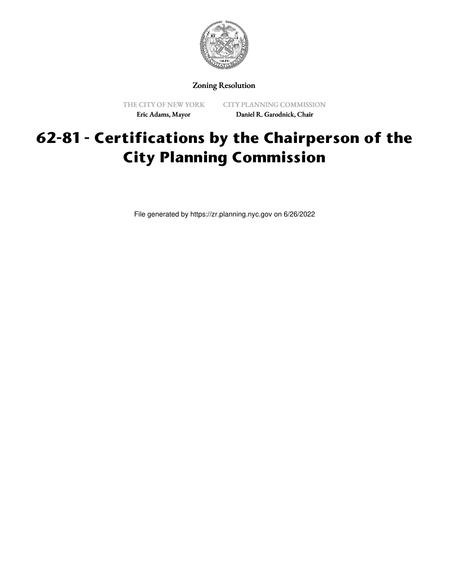

Zoning Resolution

THE CITY OF NEW YORK Eric Adams, Mayor

CITY PLANNING COMMISSION Daniel R. Garodnick, Chair

# **62-81 - Certifications by the Chairperson of the City Planning Commission**

File generated by https://zr.planning.nyc.gov on 6/26/2022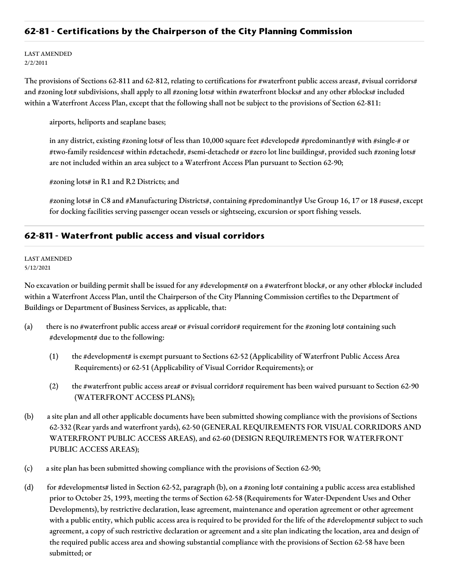## **62-81 - Certifications by the Chairperson of the City Planning Commission**

LAST AMENDED 2/2/2011

The provisions of Sections 62-811 and 62-812, relating to certifications for #waterfront public access areas#, #visual corridors# and #zoning lot# subdivisions, shall apply to all #zoning lots# within #waterfront blocks# and any other #blocks# included within a Waterfront Access Plan, except that the following shall not be subject to the provisions of Section 62-811:

airports, heliports and seaplane bases;

in any district, existing #zoning lots# of less than 10,000 square feet #developed# #predominantly# with #single-# or #two-family residences# within #detached#, #semi-detached# or #zero lot line buildings#, provided such #zoning lots# are not included within an area subject to a Waterfront Access Plan pursuant to Section 62-90;

#zoning lots# in R1 and R2 Districts; and

#zoning lots# in C8 and #Manufacturing Districts#, containing #predominantly# Use Group 16, 17 or 18 #uses#, except for docking facilities serving passenger ocean vessels or sightseeing, excursion or sport fishing vessels.

## **62-811 - Waterfront public access and visual corridors**

#### LAST AMENDED 5/12/2021

No excavation or building permit shall be issued for any #development# on a #waterfront block#, or any other #block# included within a Waterfront Access Plan, until the Chairperson of the City Planning Commission certifies to the Department of Buildings or Department of Business Services, as applicable, that:

- (a) there is no #waterfront public access area# or #visual corridor# requirement for the #zoning lot# containing such #development# due to the following:
	- (1) the #development# is exempt pursuant to Sections 62-52 (Applicability of Waterfront Public Access Area Requirements) or 62-51 (Applicability of Visual Corridor Requirements); or
	- (2) the #waterfront public access area# or #visual corridor# requirement has been waived pursuant to Section 62-90 (WATERFRONT ACCESS PLANS);
- (b) a site plan and all other applicable documents have been submitted showing compliance with the provisions of Sections 62-332 (Rear yards and waterfront yards), 62-50 (GENERAL REQUIREMENTS FOR VISUAL CORRIDORS AND WATERFRONT PUBLIC ACCESS AREAS), and 62-60 (DESIGN REQUIREMENTS FOR WATERFRONT PUBLIC ACCESS AREAS);
- (c) a site plan has been submitted showing compliance with the provisions of Section 62-90;
- (d) for #developments# listed in Section 62-52, paragraph (b), on a #zoning lot# containing a public access area established prior to October 25, 1993, meeting the terms of Section 62-58 (Requirements for Water-Dependent Uses and Other Developments), by restrictive declaration, lease agreement, maintenance and operation agreement or other agreement with a public entity, which public access area is required to be provided for the life of the #development# subject to such agreement, a copy of such restrictive declaration or agreement and a site plan indicating the location, area and design of the required public access area and showing substantial compliance with the provisions of Section 62-58 have been submitted; or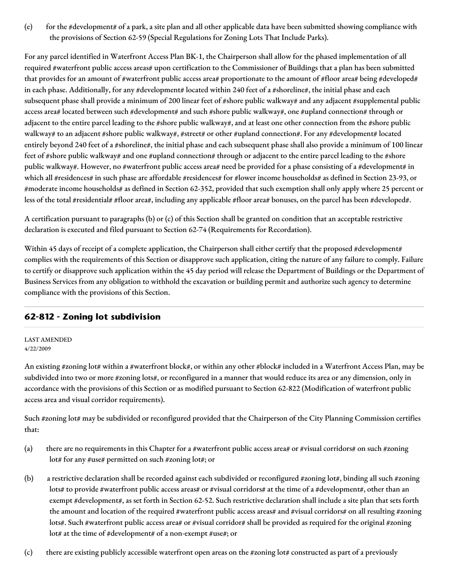(e) for the #development# of a park, a site plan and all other applicable data have been submitted showing compliance with the provisions of Section 62-59 (Special Regulations for Zoning Lots That Include Parks).

For any parcel identified in Waterfront Access Plan BK-1, the Chairperson shall allow for the phased implementation of all required #waterfront public access areas# upon certification to the Commissioner of Buildings that a plan has been submitted that provides for an amount of #waterfront public access area# proportionate to the amount of #floor area# being #developed# in each phase. Additionally, for any #development# located within 240 feet of a #shoreline#, the initial phase and each subsequent phase shall provide a minimum of 200 linear feet of #shore public walkway# and any adjacent #supplemental public access area# located between such #development# and such #shore public walkway#, one #upland connection# through or adjacent to the entire parcel leading to the #shore public walkway#, and at least one other connection from the #shore public walkway# to an adjacent #shore public walkway#, #street# or other #upland connection#. For any #development# located entirely beyond 240 feet of a #shoreline#, the initial phase and each subsequent phase shall also provide a minimum of 100 linear feet of #shore public walkway# and one #upland connection# through or adjacent to the entire parcel leading to the #shore public walkway#. However, no #waterfront public access area# need be provided for a phase consisting of a #development# in which all #residences# in such phase are affordable #residences# for #lower income households# as defined in Section 23-93, or #moderate income households# as defined in Section 62-352, provided that such exemption shall only apply where 25 percent or less of the total #residential# #floor area#, including any applicable #floor area# bonuses, on the parcel has been #developed#.

A certification pursuant to paragraphs (b) or (c) of this Section shall be granted on condition that an acceptable restrictive declaration is executed and filed pursuant to Section 62-74 (Requirements for Recordation).

Within 45 days of receipt of a complete application, the Chairperson shall either certify that the proposed #development# complies with the requirements of this Section or disapprove such application, citing the nature of any failure to comply. Failure to certify or disapprove such application within the 45 day period will release the Department of Buildings or the Department of Business Services from any obligation to withhold the excavation or building permit and authorize such agency to determine compliance with the provisions of this Section.

# **62-812 - Zoning lot subdivision**

LAST AMENDED 4/22/2009

An existing #zoning lot# within a #waterfront block#, or within any other #block# included in a Waterfront Access Plan, may be subdivided into two or more #zoning lots#, or reconfigured in a manner that would reduce its area or any dimension, only in accordance with the provisions of this Section or as modified pursuant to Section 62-822 (Modification of waterfront public access area and visual corridor requirements).

Such #zoning lot# may be subdivided or reconfigured provided that the Chairperson of the City Planning Commission certifies that:

- (a) there are no requirements in this Chapter for a #waterfront public access area# or #visual corridors# on such #zoning lot# for any #use# permitted on such #zoning lot#; or
- (b) a restrictive declaration shall be recorded against each subdivided or reconfigured #zoning lot#, binding all such #zoning lots# to provide #waterfront public access areas# or #visual corridors# at the time of a #development#, other than an exempt #development#, as set forth in Section 62-52. Such restrictive declaration shall include a site plan that sets forth the amount and location of the required #waterfront public access areas# and #visual corridors# on all resulting #zoning lots#. Such #waterfront public access area# or #visual corridor# shall be provided as required for the original #zoning lot# at the time of #development# of a non-exempt #use#; or
- (c) there are existing publicly accessible waterfront open areas on the #zoning lot# constructed as part of a previously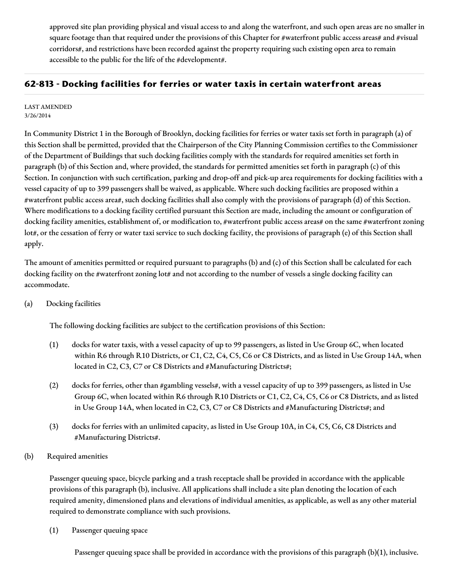approved site plan providing physical and visual access to and along the waterfront, and such open areas are no smaller in square footage than that required under the provisions of this Chapter for #waterfront public access areas# and #visual corridors#, and restrictions have been recorded against the property requiring such existing open area to remain accessible to the public for the life of the #development#.

## **62-813 - Docking facilities for ferries or water taxis in certain waterfront areas**

### LAST AMENDED 3/26/2014

In Community District 1 in the Borough of Brooklyn, docking facilities for ferries or water taxis set forth in paragraph (a) of this Section shall be permitted, provided that the Chairperson of the City Planning Commission certifies to the Commissioner of the Department of Buildings that such docking facilities comply with the standards for required amenities set forth in paragraph (b) of this Section and, where provided, the standards for permitted amenities set forth in paragraph (c) of this Section. In conjunction with such certification, parking and drop-off and pick-up area requirements for docking facilities with a vessel capacity of up to 399 passengers shall be waived, as applicable. Where such docking facilities are proposed within a #waterfront public access area#, such docking facilities shall also comply with the provisions of paragraph (d) of this Section. Where modifications to a docking facility certified pursuant this Section are made, including the amount or configuration of docking facility amenities, establishment of, or modification to, #waterfront public access areas# on the same #waterfront zoning lot#, or the cessation of ferry or water taxi service to such docking facility, the provisions of paragraph (e) of this Section shall apply.

The amount of amenities permitted or required pursuant to paragraphs (b) and (c) of this Section shall be calculated for each docking facility on the #waterfront zoning lot# and not according to the number of vessels a single docking facility can accommodate.

## (a) Docking facilities

The following docking facilities are subject to the certification provisions of this Section:

- (1) docks for water taxis, with a vessel capacity of up to 99 passengers, as listed in Use Group 6C, when located within R6 through R10 Districts, or C1, C2, C4, C5, C6 or C8 Districts, and as listed in Use Group 14A, when located in C2, C3, C7 or C8 Districts and #Manufacturing Districts#;
- (2) docks for ferries, other than #gambling vessels#, with a vessel capacity of up to 399 passengers, as listed in Use Group 6C, when located within R6 through R10 Districts or C1, C2, C4, C5, C6 or C8 Districts, and as listed in Use Group 14A, when located in C2, C3, C7 or C8 Districts and #Manufacturing Districts#; and
- (3) docks for ferries with an unlimited capacity, as listed in Use Group 10A, in C4, C5, C6, C8 Districts and #Manufacturing Districts#.

## (b) Required amenities

Passenger queuing space, bicycle parking and a trash receptacle shall be provided in accordance with the applicable provisions of this paragraph (b), inclusive. All applications shall include a site plan denoting the location of each required amenity, dimensioned plans and elevations of individual amenities, as applicable, as well as any other material required to demonstrate compliance with such provisions.

(1) Passenger queuing space

Passenger queuing space shall be provided in accordance with the provisions of this paragraph (b)(1), inclusive.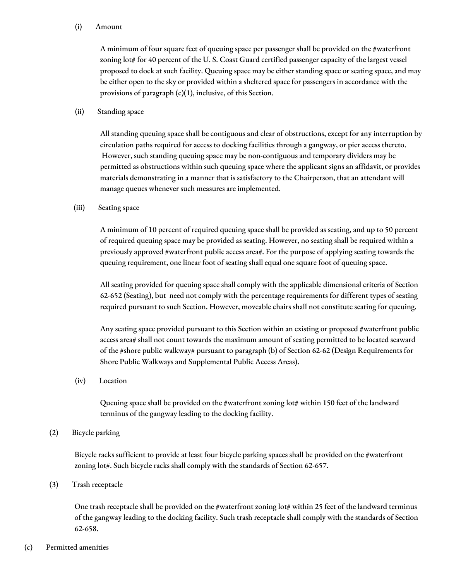### (i) Amount

A minimum of four square feet of queuing space per passenger shall be provided on the #waterfront zoning lot# for 40 percent of the U.S. Coast Guard certified passenger capacity of the largest vessel proposed to dock at such facility. Queuing space may be either standing space or seating space, and may be either open to the sky or provided within a sheltered space for passengers in accordance with the provisions of paragraph  $(c)(1)$ , inclusive, of this Section.

### (ii) Standing space

All standing queuing space shall be contiguous and clear of obstructions, except for any interruption by circulation paths required for access to docking facilities through a gangway, or pier access thereto. However, such standing queuing space may be non-contiguous and temporary dividers may be permitted as obstructions within such queuing space where the applicant signs an affidavit, or provides materials demonstrating in a manner that is satisfactory to the Chairperson, that an attendant will manage queues whenever such measures are implemented.

### (iii) Seating space

A minimum of 10 percent of required queuing space shall be provided as seating, and up to 50 percent of required queuing space may be provided as seating. However, no seating shall be required within a previously approved #waterfront public access area#. For the purpose of applying seating towards the queuing requirement, one linear foot of seating shall equal one square foot of queuing space.

All seating provided for queuing space shall comply with the applicable dimensional criteria of Section 62-652 (Seating), but need not comply with the percentage requirements for different types of seating required pursuant to such Section. However, moveable chairs shall not constitute seating for queuing.

Any seating space provided pursuant to this Section within an existing or proposed #waterfront public access area# shall not count towards the maximum amount of seating permitted to be located seaward of the #shore public walkway# pursuant to paragraph (b) of Section 62-62 (Design Requirements for Shore Public Walkways and Supplemental Public Access Areas).

(iv) Location

Queuing space shall be provided on the #waterfront zoning lot# within 150 feet of the landward terminus of the gangway leading to the docking facility.

## (2) Bicycle parking

Bicycle racks sufficient to provide at least four bicycle parking spaces shall be provided on the #waterfront zoning lot#. Such bicycle racks shall comply with the standards of Section 62-657.

(3) Trash receptacle

One trash receptacle shall be provided on the #waterfront zoning lot# within 25 feet of the landward terminus of the gangway leading to the docking facility. Such trash receptacle shall comply with the standards of Section 62-658.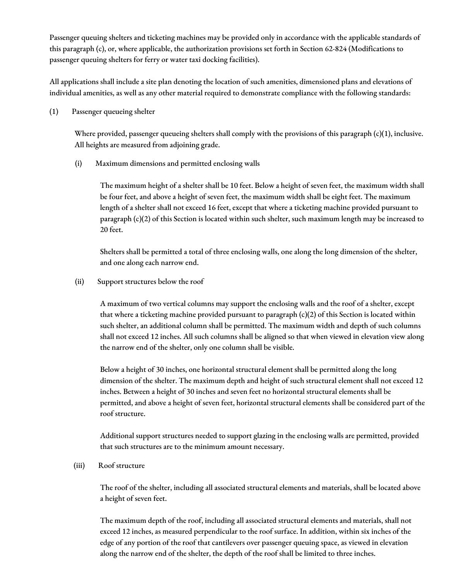Passenger queuing shelters and ticketing machines may be provided only in accordance with the applicable standards of this paragraph (c), or, where applicable, the authorization provisions set forth in Section 62-824 (Modifications to passenger queuing shelters for ferry or water taxi docking facilities).

All applications shall include a site plan denoting the location of such amenities, dimensioned plans and elevations of individual amenities, as well as any other material required to demonstrate compliance with the following standards:

(1) Passenger queueing shelter

Where provided, passenger queueing shelters shall comply with the provisions of this paragraph (c)(1), inclusive. All heights are measured from adjoining grade.

(i) Maximum dimensions and permitted enclosing walls

The maximum height of a shelter shall be 10 feet. Below a height of seven feet, the maximum width shall be four feet, and above a height of seven feet, the maximum width shall be eight feet. The maximum length of a shelter shall not exceed 16 feet, except that where a ticketing machine provided pursuant to paragraph (c)(2) of this Section is located within such shelter, such maximum length may be increased to 20 feet.

Shelters shall be permitted a total of three enclosing walls, one along the long dimension of the shelter, and one along each narrow end.

(ii) Support structures below the roof

A maximum of two vertical columns may support the enclosing walls and the roof of a shelter, except that where a ticketing machine provided pursuant to paragraph  $(c)(2)$  of this Section is located within such shelter, an additional column shall be permitted. The maximum width and depth of such columns shall not exceed 12 inches. All such columns shall be aligned so that when viewed in elevation view along the narrow end of the shelter, only one column shall be visible.

Below a height of 30 inches, one horizontal structural element shall be permitted along the long dimension of the shelter. The maximum depth and height of such structural element shall not exceed 12 inches. Between a height of 30 inches and seven feet no horizontal structural elements shall be permitted, and above a height of seven feet, horizontal structural elements shall be considered part of the roof structure.

Additional support structures needed to support glazing in the enclosing walls are permitted, provided that such structures are to the minimum amount necessary.

(iii) Roof structure

The roof of the shelter, including all associated structural elements and materials, shall be located above a height of seven feet.

The maximum depth of the roof, including all associated structural elements and materials, shall not exceed 12 inches, as measured perpendicular to the roof surface. In addition, within six inches of the edge of any portion of the roof that cantilevers over passenger queuing space, as viewed in elevation along the narrow end of the shelter, the depth of the roof shall be limited to three inches.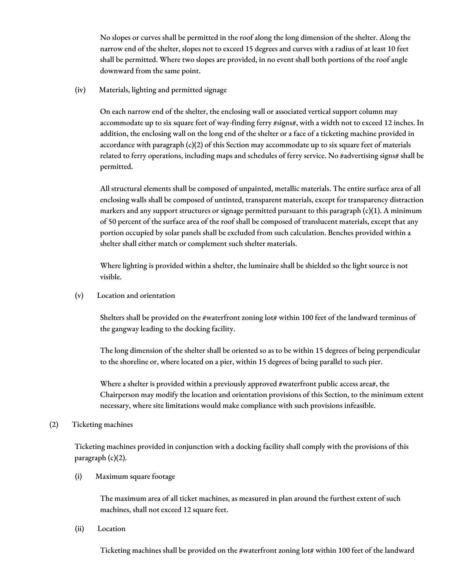No slopes or curves shall be permitted in the roof along the long dimension of the shelter. Along the narrow end of the shelter, slopes not to exceed 15 degrees and curves with a radius of at least 10 feet shall be permitted. Where two slopes are provided, in no event shall both portions of the roof angle downward from the same point.

(iv) Materials, lighting and permitted signage

On each narrow end of the shelter, the enclosing wall or associated vertical support column may accommodate up to six square feet of way-finding ferry #signs#, with a width not to exceed 12 inches. In addition, the enclosing wall on the long end of the shelter or a face of a ticketing machine provided in accordance with paragraph (c)(2) of this Section may accommodate up to six square feet of materials related to ferry operations, including maps and schedules of ferry service. No #advertising signs# shall be permitted.

All structural elements shall be composed of unpainted, metallic materials. The entire surface area of all enclosing walls shall be composed of untinted, transparent materials, except for transparency distraction markers and any support structures or signage permitted pursuant to this paragraph  $(c)(1)$ . A minimum of 50 percent of the surface area of the roof shall be composed of translucent materials, except that any portion occupied by solar panels shall be excluded from such calculation. Benches provided within a shelter shall either match or complement such shelter materials.

Where lighting is provided within a shelter, the luminaire shall be shielded so the light source is not visible.

(v) Location and orientation

Shelters shall be provided on the #waterfront zoning lot# within 100 feet of the landward terminus of the gangway leading to the docking facility.

The long dimension of the shelter shall be oriented so as to be within 15 degrees of being perpendicular to the shoreline or, where located on a pier, within 15 degrees of being parallel to such pier.

Where a shelter is provided within a previously approved #waterfront public access area#, the Chairperson may modify the location and orientation provisions of this Section, to the minimum extent necessary, where site limitations would make compliance with such provisions infeasible.

## (2) Ticketing machines

Ticketing machines provided in conjunction with a docking facility shall comply with the provisions of this paragraph (c)(2).

(i) Maximum square footage

The maximum area of all ticket machines, as measured in plan around the furthest extent of such machines, shall not exceed 12 square feet.

(ii) Location

Ticketing machines shall be provided on the #waterfront zoning lot# within 100 feet of the landward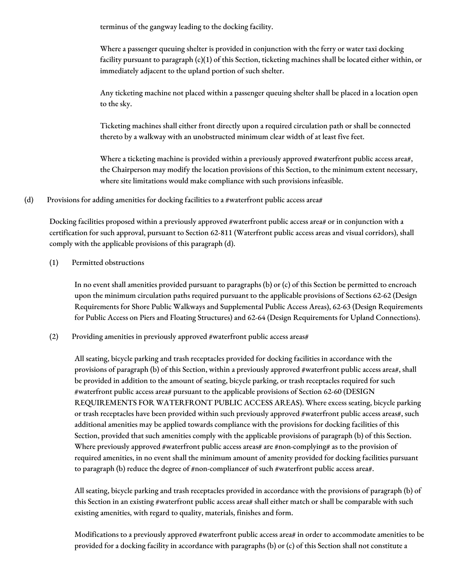terminus of the gangway leading to the docking facility.

Where a passenger queuing shelter is provided in conjunction with the ferry or water taxi docking facility pursuant to paragraph (c)(1) of this Section, ticketing machines shall be located either within, or immediately adjacent to the upland portion of such shelter.

Any ticketing machine not placed within a passenger queuing shelter shall be placed in a location open to the sky.

Ticketing machines shall either front directly upon a required circulation path or shall be connected thereto by a walkway with an unobstructed minimum clear width of at least five feet.

Where a ticketing machine is provided within a previously approved #waterfront public access area#, the Chairperson may modify the location provisions of this Section, to the minimum extent necessary, where site limitations would make compliance with such provisions infeasible.

## (d) Provisions for adding amenities for docking facilities to a #waterfront public access area#

Docking facilities proposed within a previously approved #waterfront public access area# or in conjunction with a certification for such approval, pursuant to Section 62-811 (Waterfront public access areas and visual corridors), shall comply with the applicable provisions of this paragraph (d).

## (1) Permitted obstructions

In no event shall amenities provided pursuant to paragraphs (b) or (c) of this Section be permitted to encroach upon the minimum circulation paths required pursuant to the applicable provisions of Sections 62-62 (Design Requirements for Shore Public Walkways and Supplemental Public Access Areas), 62-63 (Design Requirements for Public Access on Piers and Floating Structures) and 62-64 (Design Requirements for Upland Connections).

(2) Providing amenities in previously approved #waterfront public access areas#

All seating, bicycle parking and trash receptacles provided for docking facilities in accordance with the provisions of paragraph (b) of this Section, within a previously approved #waterfront public access area#, shall be provided in addition to the amount of seating, bicycle parking, or trash receptacles required for such #waterfront public access area# pursuant to the applicable provisions of Section 62-60 (DESIGN REQUIREMENTS FOR WATERFRONT PUBLIC ACCESS AREAS). Where excess seating, bicycle parking or trash receptacles have been provided within such previously approved #waterfront public access areas#, such additional amenities may be applied towards compliance with the provisions for docking facilities of this Section, provided that such amenities comply with the applicable provisions of paragraph (b) of this Section. Where previously approved #waterfront public access areas# are #non-complying# as to the provision of required amenities, in no event shall the minimum amount of amenity provided for docking facilities pursuant to paragraph (b) reduce the degree of #non-compliance# of such #waterfront public access area#.

All seating, bicycle parking and trash receptacles provided in accordance with the provisions of paragraph (b) of this Section in an existing #waterfront public access area# shall either match or shall be comparable with such existing amenities, with regard to quality, materials, finishes and form.

Modifications to a previously approved #waterfront public access area# in order to accommodate amenities to be provided for a docking facility in accordance with paragraphs (b) or (c) of this Section shall not constitute a